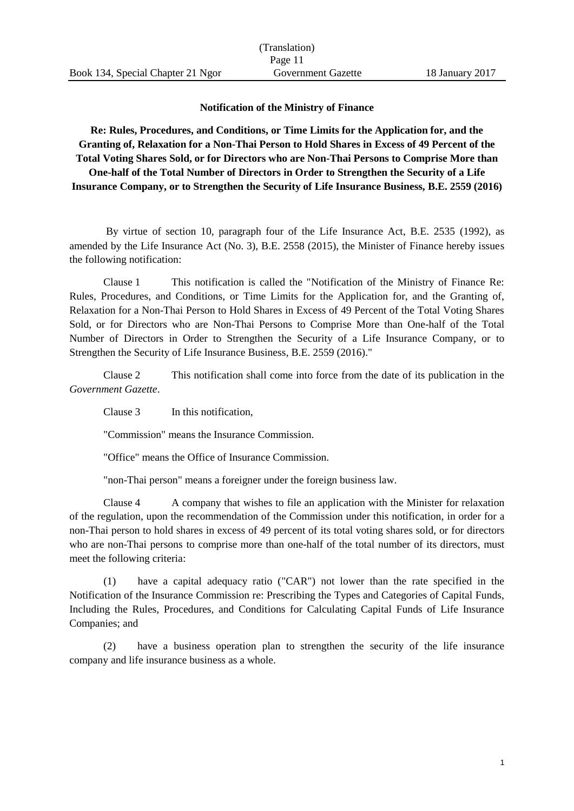## **Notification of the Ministry of Finance**

**Re: Rules, Procedures, and Conditions, or Time Limits for the Application for, and the Granting of, Relaxation for a Non-Thai Person to Hold Shares in Excess of 49 Percent of the Total Voting Shares Sold, or for Directors who are Non-Thai Persons to Comprise More than One-half of the Total Number of Directors in Order to Strengthen the Security of a Life Insurance Company, or to Strengthen the Security of Life Insurance Business, B.E. 2559 (2016)**

By virtue of section 10, paragraph four of the Life Insurance Act, B.E. 2535 (1992), as amended by the Life Insurance Act (No. 3), B.E. 2558 (2015), the Minister of Finance hereby issues the following notification:

Clause 1 This notification is called the "Notification of the Ministry of Finance Re: Rules, Procedures, and Conditions, or Time Limits for the Application for, and the Granting of, Relaxation for a Non-Thai Person to Hold Shares in Excess of 49 Percent of the Total Voting Shares Sold, or for Directors who are Non-Thai Persons to Comprise More than One-half of the Total Number of Directors in Order to Strengthen the Security of a Life Insurance Company, or to Strengthen the Security of Life Insurance Business, B.E. 2559 (2016)."

Clause 2 This notification shall come into force from the date of its publication in the *Government Gazette*.

Clause 3 In this notification,

"Commission" means the Insurance Commission.

"Office" means the Office of Insurance Commission.

"non-Thai person" means a foreigner under the foreign business law.

Clause 4 A company that wishes to file an application with the Minister for relaxation of the regulation, upon the recommendation of the Commission under this notification, in order for a non-Thai person to hold shares in excess of 49 percent of its total voting shares sold, or for directors who are non-Thai persons to comprise more than one-half of the total number of its directors, must meet the following criteria:

(1) have a capital adequacy ratio ("CAR") not lower than the rate specified in the Notification of the Insurance Commission re: Prescribing the Types and Categories of Capital Funds, Including the Rules, Procedures, and Conditions for Calculating Capital Funds of Life Insurance Companies; and

(2) have a business operation plan to strengthen the security of the life insurance company and life insurance business as a whole.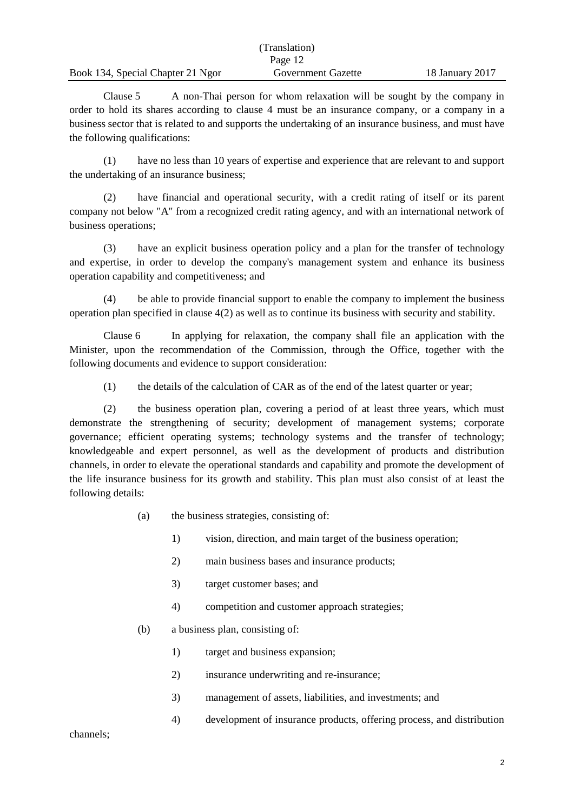|                                   | (Translation)      |                 |
|-----------------------------------|--------------------|-----------------|
|                                   | Page 12            |                 |
| Book 134, Special Chapter 21 Ngor | Government Gazette | 18 January 2017 |

Clause 5 A non-Thai person for whom relaxation will be sought by the company in order to hold its shares according to clause 4 must be an insurance company, or a company in a business sector that is related to and supports the undertaking of an insurance business, and must have the following qualifications:

(1) have no less than 10 years of expertise and experience that are relevant to and support the undertaking of an insurance business;

(2) have financial and operational security, with a credit rating of itself or its parent company not below "A" from a recognized credit rating agency, and with an international network of business operations;

(3) have an explicit business operation policy and a plan for the transfer of technology and expertise, in order to develop the company's management system and enhance its business operation capability and competitiveness; and

(4) be able to provide financial support to enable the company to implement the business operation plan specified in clause 4(2) as well as to continue its business with security and stability.

Clause 6 In applying for relaxation, the company shall file an application with the Minister, upon the recommendation of the Commission, through the Office, together with the following documents and evidence to support consideration:

(1) the details of the calculation of CAR as of the end of the latest quarter or year;

(2) the business operation plan, covering a period of at least three years, which must demonstrate the strengthening of security; development of management systems; corporate governance; efficient operating systems; technology systems and the transfer of technology; knowledgeable and expert personnel, as well as the development of products and distribution channels, in order to elevate the operational standards and capability and promote the development of the life insurance business for its growth and stability. This plan must also consist of at least the following details:

- (a) the business strategies, consisting of:
	- 1) vision, direction, and main target of the business operation;
	- 2) main business bases and insurance products;
	- 3) target customer bases; and
	- 4) competition and customer approach strategies;
- (b) a business plan, consisting of:
	- 1) target and business expansion;
	- 2) insurance underwriting and re-insurance;
	- 3) management of assets, liabilities, and investments; and
	- 4) development of insurance products, offering process, and distribution

channels;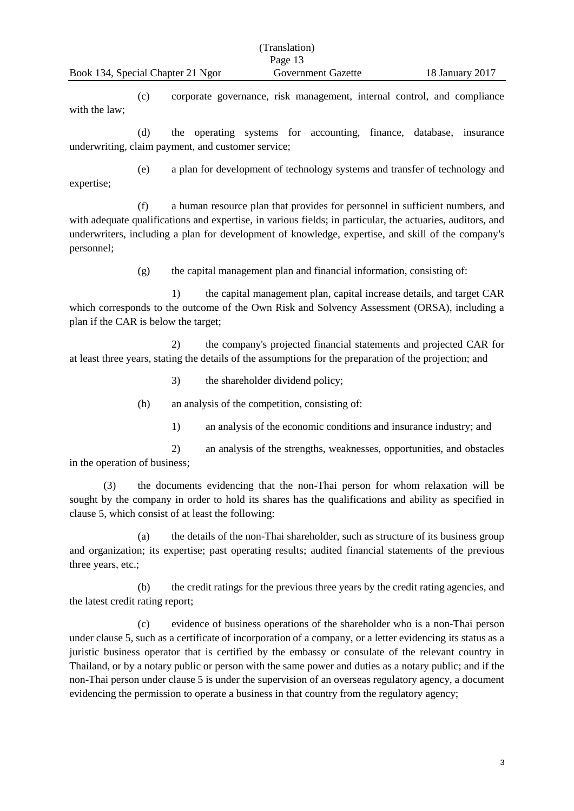(c) corporate governance, risk management, internal control, and compliance with the law;

(d) the operating systems for accounting, finance, database, insurance underwriting, claim payment, and customer service;

expertise;

(e) a plan for development of technology systems and transfer of technology and

(f) a human resource plan that provides for personnel in sufficient numbers, and with adequate qualifications and expertise, in various fields; in particular, the actuaries, auditors, and underwriters, including a plan for development of knowledge, expertise, and skill of the company's personnel;

(g) the capital management plan and financial information, consisting of:

1) the capital management plan, capital increase details, and target CAR which corresponds to the outcome of the Own Risk and Solvency Assessment (ORSA), including a plan if the CAR is below the target;

2) the company's projected financial statements and projected CAR for at least three years, stating the details of the assumptions for the preparation of the projection; and

3) the shareholder dividend policy;

(h) an analysis of the competition, consisting of:

1) an analysis of the economic conditions and insurance industry; and

2) an analysis of the strengths, weaknesses, opportunities, and obstacles in the operation of business;

(3) the documents evidencing that the non-Thai person for whom relaxation will be sought by the company in order to hold its shares has the qualifications and ability as specified in clause 5, which consist of at least the following:

(a) the details of the non-Thai shareholder, such as structure of its business group and organization; its expertise; past operating results; audited financial statements of the previous three years, etc.;

(b) the credit ratings for the previous three years by the credit rating agencies, and the latest credit rating report;

(c) evidence of business operations of the shareholder who is a non-Thai person under clause 5, such as a certificate of incorporation of a company, or a letter evidencing its status as a juristic business operator that is certified by the embassy or consulate of the relevant country in Thailand, or by a notary public or person with the same power and duties as a notary public; and if the non-Thai person under clause 5 is under the supervision of an overseas regulatory agency, a document evidencing the permission to operate a business in that country from the regulatory agency;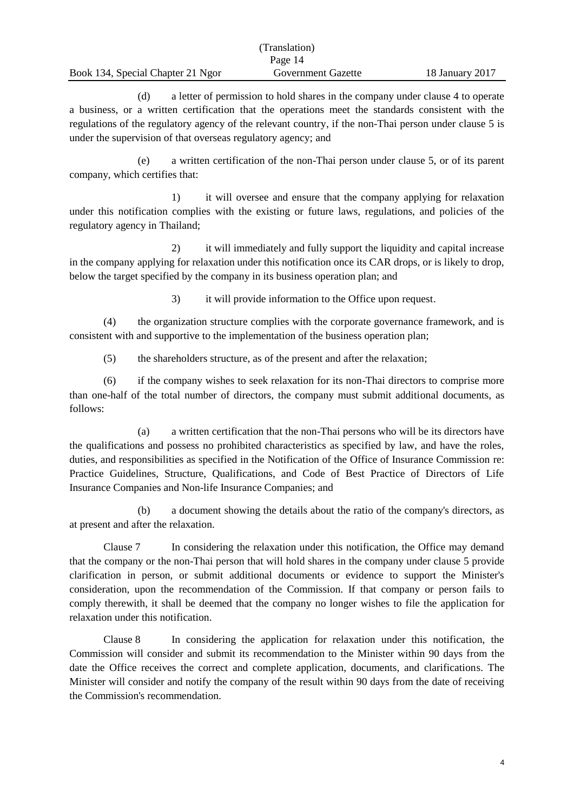|                                   | (Translation)      |                 |
|-----------------------------------|--------------------|-----------------|
|                                   | Page 14            |                 |
| Book 134, Special Chapter 21 Ngor | Government Gazette | 18 January 2017 |

(d) a letter of permission to hold shares in the company under clause 4 to operate a business, or a written certification that the operations meet the standards consistent with the regulations of the regulatory agency of the relevant country, if the non-Thai person under clause 5 is under the supervision of that overseas regulatory agency; and

(e) a written certification of the non-Thai person under clause 5, or of its parent company, which certifies that:

1) it will oversee and ensure that the company applying for relaxation under this notification complies with the existing or future laws, regulations, and policies of the regulatory agency in Thailand;

2) it will immediately and fully support the liquidity and capital increase in the company applying for relaxation under this notification once its CAR drops, or is likely to drop, below the target specified by the company in its business operation plan; and

3) it will provide information to the Office upon request.

(4) the organization structure complies with the corporate governance framework, and is consistent with and supportive to the implementation of the business operation plan;

(5) the shareholders structure, as of the present and after the relaxation;

(6) if the company wishes to seek relaxation for its non-Thai directors to comprise more than one-half of the total number of directors, the company must submit additional documents, as follows:

(a) a written certification that the non-Thai persons who will be its directors have the qualifications and possess no prohibited characteristics as specified by law, and have the roles, duties, and responsibilities as specified in the Notification of the Office of Insurance Commission re: Practice Guidelines, Structure, Qualifications, and Code of Best Practice of Directors of Life Insurance Companies and Non-life Insurance Companies; and

(b) a document showing the details about the ratio of the company's directors, as at present and after the relaxation.

Clause 7 In considering the relaxation under this notification, the Office may demand that the company or the non-Thai person that will hold shares in the company under clause 5 provide clarification in person, or submit additional documents or evidence to support the Minister's consideration, upon the recommendation of the Commission. If that company or person fails to comply therewith, it shall be deemed that the company no longer wishes to file the application for relaxation under this notification.

Clause 8 In considering the application for relaxation under this notification, the Commission will consider and submit its recommendation to the Minister within 90 days from the date the Office receives the correct and complete application, documents, and clarifications. The Minister will consider and notify the company of the result within 90 days from the date of receiving the Commission's recommendation.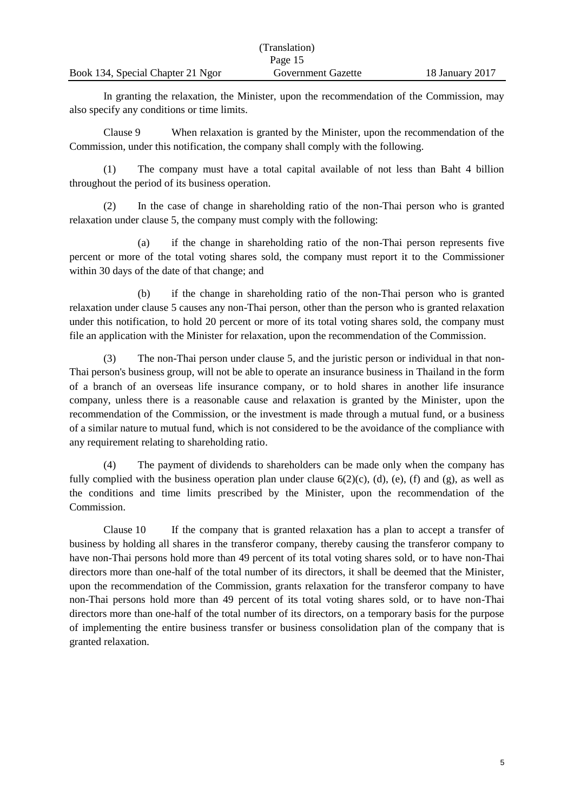|                                   | (Translation)      |                 |
|-----------------------------------|--------------------|-----------------|
|                                   | Page 15            |                 |
| Book 134, Special Chapter 21 Ngor | Government Gazette | 18 January 2017 |

In granting the relaxation, the Minister, upon the recommendation of the Commission, may also specify any conditions or time limits.

Clause 9 When relaxation is granted by the Minister, upon the recommendation of the Commission, under this notification, the company shall comply with the following.

(1) The company must have a total capital available of not less than Baht 4 billion throughout the period of its business operation.

(2) In the case of change in shareholding ratio of the non-Thai person who is granted relaxation under clause 5, the company must comply with the following:

(a) if the change in shareholding ratio of the non-Thai person represents five percent or more of the total voting shares sold, the company must report it to the Commissioner within 30 days of the date of that change; and

(b) if the change in shareholding ratio of the non-Thai person who is granted relaxation under clause 5 causes any non-Thai person, other than the person who is granted relaxation under this notification, to hold 20 percent or more of its total voting shares sold, the company must file an application with the Minister for relaxation, upon the recommendation of the Commission.

(3) The non-Thai person under clause 5, and the juristic person or individual in that non-Thai person's business group, will not be able to operate an insurance business in Thailand in the form of a branch of an overseas life insurance company, or to hold shares in another life insurance company, unless there is a reasonable cause and relaxation is granted by the Minister, upon the recommendation of the Commission, or the investment is made through a mutual fund, or a business of a similar nature to mutual fund, which is not considered to be the avoidance of the compliance with any requirement relating to shareholding ratio.

(4) The payment of dividends to shareholders can be made only when the company has fully complied with the business operation plan under clause  $6(2)(c)$ ,  $(d)$ ,  $(e)$ ,  $(f)$  and  $(g)$ , as well as the conditions and time limits prescribed by the Minister, upon the recommendation of the Commission.

Clause 10 If the company that is granted relaxation has a plan to accept a transfer of business by holding all shares in the transferor company, thereby causing the transferor company to have non-Thai persons hold more than 49 percent of its total voting shares sold, or to have non-Thai directors more than one-half of the total number of its directors, it shall be deemed that the Minister, upon the recommendation of the Commission, grants relaxation for the transferor company to have non-Thai persons hold more than 49 percent of its total voting shares sold, or to have non-Thai directors more than one-half of the total number of its directors, on a temporary basis for the purpose of implementing the entire business transfer or business consolidation plan of the company that is granted relaxation.